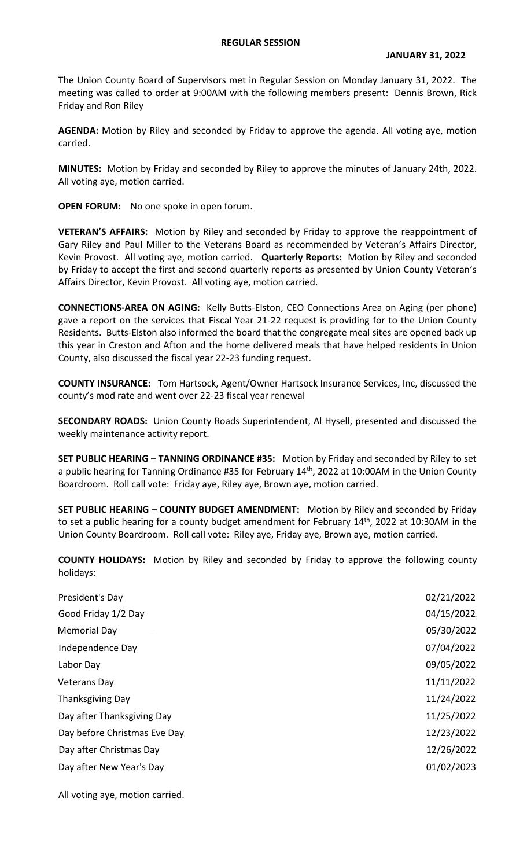## **REGULAR SESSION**

The Union County Board of Supervisors met in Regular Session on Monday January 31, 2022. The meeting was called to order at 9:00AM with the following members present: Dennis Brown, Rick Friday and Ron Riley

**AGENDA:** Motion by Riley and seconded by Friday to approve the agenda. All voting aye, motion carried.

**MINUTES:** Motion by Friday and seconded by Riley to approve the minutes of January 24th, 2022. All voting aye, motion carried.

**OPEN FORUM:** No one spoke in open forum.

**VETERAN'S AFFAIRS:** Motion by Riley and seconded by Friday to approve the reappointment of Gary Riley and Paul Miller to the Veterans Board as recommended by Veteran's Affairs Director, Kevin Provost. All voting aye, motion carried. **Quarterly Reports:** Motion by Riley and seconded by Friday to accept the first and second quarterly reports as presented by Union County Veteran's Affairs Director, Kevin Provost. All voting aye, motion carried.

**CONNECTIONS-AREA ON AGING:** Kelly Butts-Elston, CEO Connections Area on Aging (per phone) gave a report on the services that Fiscal Year 21-22 request is providing for to the Union County Residents. Butts-Elston also informed the board that the congregate meal sites are opened back up this year in Creston and Afton and the home delivered meals that have helped residents in Union County, also discussed the fiscal year 22-23 funding request.

**COUNTY INSURANCE:** Tom Hartsock, Agent/Owner Hartsock Insurance Services, Inc, discussed the county's mod rate and went over 22-23 fiscal year renewal

**SECONDARY ROADS:** Union County Roads Superintendent, Al Hysell, presented and discussed the weekly maintenance activity report.

**SET PUBLIC HEARING – TANNING ORDINANCE #35:** Motion by Friday and seconded by Riley to set a public hearing for Tanning Ordinance #35 for February 14<sup>th</sup>, 2022 at 10:00AM in the Union County Boardroom. Roll call vote: Friday aye, Riley aye, Brown aye, motion carried.

**SET PUBLIC HEARING – COUNTY BUDGET AMENDMENT:** Motion by Riley and seconded by Friday to set a public hearing for a county budget amendment for February 14<sup>th</sup>, 2022 at 10:30AM in the Union County Boardroom. Roll call vote: Riley aye, Friday aye, Brown aye, motion carried.

**COUNTY HOLIDAYS:** Motion by Riley and seconded by Friday to approve the following county holidays:

| President's Day              | 02/21/2022 |
|------------------------------|------------|
| Good Friday 1/2 Day          | 04/15/2022 |
| <b>Memorial Day</b>          | 05/30/2022 |
| Independence Day             | 07/04/2022 |
| Labor Day                    | 09/05/2022 |
| Veterans Day                 | 11/11/2022 |
| <b>Thanksgiving Day</b>      | 11/24/2022 |
| Day after Thanksgiving Day   | 11/25/2022 |
| Day before Christmas Eve Day | 12/23/2022 |
| Day after Christmas Day      | 12/26/2022 |
| Day after New Year's Day     | 01/02/2023 |

All voting aye, motion carried.